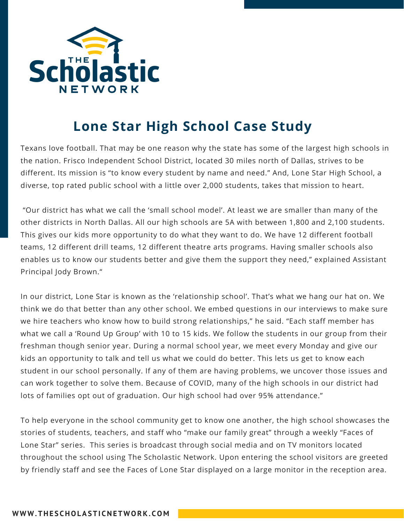

## **Lone Star High School Case Study**

Texans love football. That may be one reason why the state has some of the largest high schools in the nation. Frisco Independent School District, located 30 miles north of Dallas, strives to be different. Its mission is "to know every student by name and need." And, Lone Star High School, a diverse, top rated public school with a little over 2,000 students, takes that mission to heart.

"Our district has what we call the 'small school model'. At least we are smaller than many of the other districts in North Dallas. All our high schools are 5A with between 1,800 and 2,100 students. This gives our kids more opportunity to do what they want to do. We have 12 different football teams, 12 different drill teams, 12 different theatre arts programs. Having smaller schools also enables us to know our students better and give them the support they need," explained Assistant Principal Jody Brown."

In our district, Lone Star is known as the 'relationship school'. That's what we hang our hat on. We think we do that better than any other school. We embed questions in our interviews to make sure we hire teachers who know how to build strong relationships," he said. "Each staff member has what we call a 'Round Up Group' with 10 to 15 kids. We follow the students in our group from their freshman though senior year. During a normal school year, we meet every Monday and give our kids an opportunity to talk and tell us what we could do better. This lets us get to know each student in our school personally. If any of them are having problems, we uncover those issues and can work together to solve them. Because of COVID, many of the high schools in our district had lots of families opt out of graduation. Our high school had over 95% attendance."

To help everyone in the school community get to know one another, the high school showcases the stories of students, teachers, and staff who "make our family great" through a weekly "Faces of Lone Star" series. This series is broadcast through social media and on TV monitors located throughout the school using The Scholastic Network. Upon entering the school visitors are greeted by friendly staff and see the Faces of Lone Star displayed on a large monitor in the reception area.